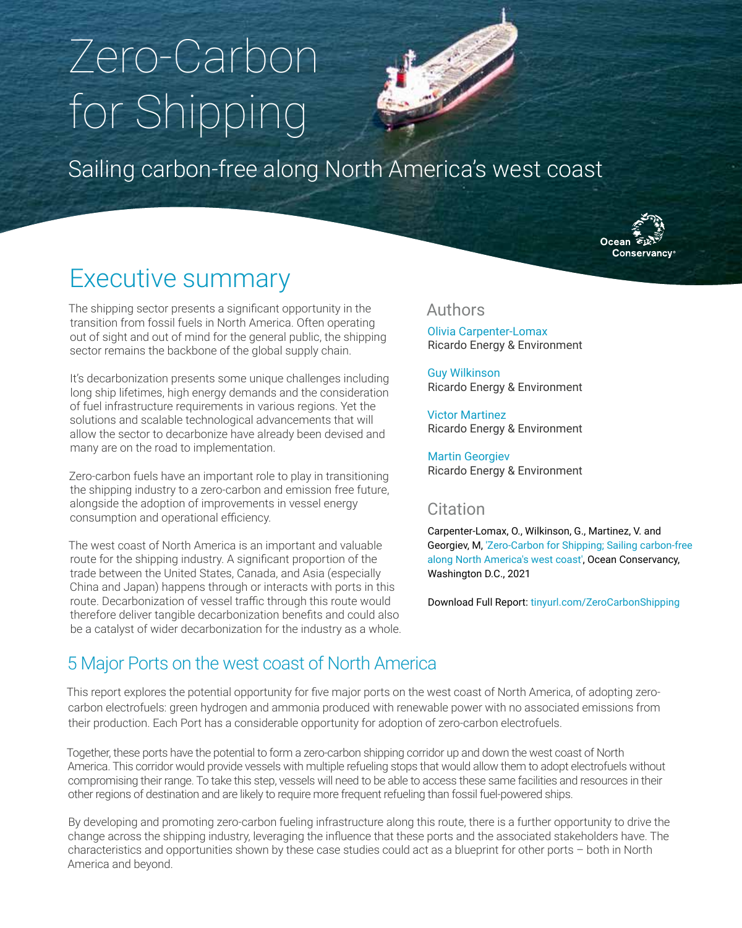# Zero-Carbon for Shipping



Sailing carbon-free along North America's west coast



## Executive summary

The shipping sector presents a significant opportunity in the transition from fossil fuels in North America. Often operating out of sight and out of mind for the general public, the shipping sector remains the backbone of the global supply chain.

It's decarbonization presents some unique challenges including long ship lifetimes, high energy demands and the consideration of fuel infrastructure requirements in various regions. Yet the solutions and scalable technological advancements that will allow the sector to decarbonize have already been devised and many are on the road to implementation.

Zero-carbon fuels have an important role to play in transitioning the shipping industry to a zero-carbon and emission free future, alongside the adoption of improvements in vessel energy consumption and operational efficiency.

The west coast of North America is an important and valuable route for the shipping industry. A significant proportion of the trade between the United States, Canada, and Asia (especially China and Japan) happens through or interacts with ports in this route. Decarbonization of vessel traffic through this route would therefore deliver tangible decarbonization benefits and could also be a catalyst of wider decarbonization for the industry as a whole.

#### Authors

Olivia Carpenter-Lomax Ricardo Energy & Environment

Guy Wilkinson Ricardo Energy & Environment

Victor Martinez Ricardo Energy & Environment

Martin Georgiev Ricardo Energy & Environment

#### **Citation**

Carpenter-Lomax, O., Wilkinson, G., Martinez, V. and Georgiev, M, 'Zero-Carbon for Shipping; Sailing carbon-free along North America's west coast', Ocean Conservancy, Washington D.C., 2021

Download Full Report: [tinyurl.com/ZeroCarbonShipping](http://tinyurl.com/ZeroCarbonShipping)

### 5 Major Ports on the west coast of North America

This report explores the potential opportunity for five major ports on the west coast of North America, of adopting zerocarbon electrofuels: green hydrogen and ammonia produced with renewable power with no associated emissions from their production. Each Port has a considerable opportunity for adoption of zero-carbon electrofuels.

Together, these ports have the potential to form a zero-carbon shipping corridor up and down the west coast of North America. This corridor would provide vessels with multiple refueling stops that would allow them to adopt electrofuels without compromising their range. To take this step, vessels will need to be able to access these same facilities and resources in their other regions of destination and are likely to require more frequent refueling than fossil fuel-powered ships.

By developing and promoting zero-carbon fueling infrastructure along this route, there is a further opportunity to drive the change across the shipping industry, leveraging the influence that these ports and the associated stakeholders have. The characteristics and opportunities shown by these case studies could act as a blueprint for other ports – both in North America and beyond.